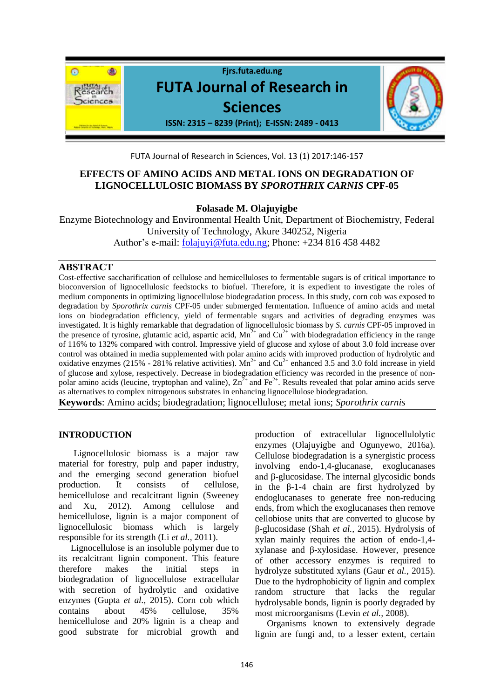

FUTA Journal of Research in Sciences, Vol. 13 (1) 2017:146-157

# **EFFECTS OF AMINO ACIDS AND METAL IONS ON DEGRADATION OF LIGNOCELLULOSIC BIOMASS BY** *SPOROTHRIX CARNIS* **CPF-05**

**Folasade M. Olajuyigbe**

Enzyme Biotechnology and Environmental Health Unit, Department of Biochemistry, Federal University of Technology, Akure 340252, Nigeria Author's e-mail: [folajuyi@futa.edu.ng;](mailto:folajuyi@futa.edu.ng) Phone: +234 816 458 4482

## **ABSTRACT**

Cost-effective saccharification of cellulose and hemicelluloses to fermentable sugars is of critical importance to bioconversion of lignocellulosic feedstocks to biofuel. Therefore, it is expedient to investigate the roles of medium components in optimizing lignocellulose biodegradation process. In this study, corn cob was exposed to degradation by *Sporothrix carnis* CPF-05 under submerged fermentation. Influence of amino acids and metal ions on biodegradation efficiency*,* yield of fermentable sugars and activities of degrading enzymes was investigated*.* It is highly remarkable that degradation of lignocellulosic biomass by *S. carnis* CPF-05 improved in the presence of tyrosine, glutamic acid, aspartic acid,  $Mn^{2+}$  and  $Cu^{2+}$  with biodegradation efficiency in the range of 116% to 132% compared with control. Impressive yield of glucose and xylose of about 3.0 fold increase over control was obtained in media supplemented with polar amino acids with improved production of hydrolytic and oxidative enzymes (215% - 281% relative activities).  $Mn^{2+}$  and  $Cu^{2+}$  enhanced 3.5 and 3.0 fold increase in yield of glucose and xylose, respectively. Decrease in biodegradation efficiency was recorded in the presence of nonpolar amino acids (leucine, tryptophan and valine),  $Zn^{2+}$  and Fe<sup>2+</sup>. Results revealed that polar amino acids serve as alternatives to complex nitrogenous substrates in enhancing lignocellulose biodegradation.

**Keywords**: Amino acids; biodegradation; lignocellulose; metal ions; *Sporothrix carnis*

### **INTRODUCTION**

Lignocellulosic biomass is a major raw material for forestry, pulp and paper industry, and the emerging second generation biofuel production. It consists of cellulose, hemicellulose and recalcitrant lignin (Sweeney and Xu, 2012). Among cellulose and hemicellulose, lignin is a major component of lignocellulosic biomass which is largely responsible for its strength (Li *et al.,* 2011).

Lignocellulose is an insoluble polymer due to its recalcitrant lignin component. This feature therefore makes the initial steps in biodegradation of lignocellulose extracellular with secretion of hydrolytic and oxidative enzymes (Gupta *et al.,* 2015). Corn cob which contains about 45% cellulose, 35% hemicellulose and 20% lignin is a cheap and good substrate for microbial growth and

production of extracellular lignocellulolytic enzymes (Olajuyigbe and Ogunyewo, 2016a). Cellulose biodegradation is a synergistic process involving endo-1,4-glucanase, exoglucanases and β-glucosidase. The internal glycosidic bonds in the β-1-4 chain are first hydrolyzed by endoglucanases to generate free non-reducing ends, from which the exoglucanases then remove cellobiose units that are converted to glucose by β-glucosidase (Shah *et al.,* 2015). Hydrolysis of xylan mainly requires the action of endo-1,4 xylanase and β-xylosidase. However, presence of other accessory enzymes is required to hydrolyze substituted xylans (Gaur *et al.,* 2015). Due to the hydrophobicity of lignin and complex random structure that lacks the regular hydrolysable bonds, lignin is poorly degraded by most microorganisms (Levin *et al.,* 2008).

Organisms known to extensively degrade lignin are fungi and, to a lesser extent, certain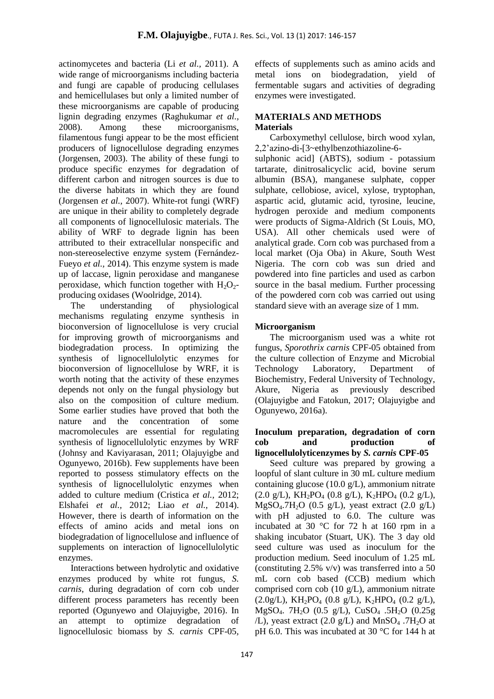actinomycetes and bacteria (Li *et al.,* 2011). A wide range of microorganisms including bacteria and fungi are capable of producing cellulases and hemicellulases but only a limited number of these microorganisms are capable of producing lignin degrading enzymes (Raghukumar *et al.,* 2008). Among these microorganisms, filamentous fungi appear to be the most efficient producers of lignocellulose degrading enzymes (Jorgensen, 2003). The ability of these fungi to produce specific enzymes for degradation of different carbon and nitrogen sources is due to the diverse habitats in which they are found (Jorgensen *et al.,* 2007). White-rot fungi (WRF) are unique in their ability to completely degrade all components of lignocellulosic materials. The ability of WRF to degrade lignin has been attributed to their extracellular nonspecific and non-stereoselective enzyme system (Fernández-Fueyo *et al.,* 2014). This enzyme system is made up of laccase, lignin peroxidase and manganese peroxidase, which function together with  $H_2O_2$ producing oxidases (Woolridge, 2014).

The understanding of physiological mechanisms regulating enzyme synthesis in bioconversion of lignocellulose is very crucial for improving growth of microorganisms and biodegradation process. In optimizing the synthesis of lignocellulolytic enzymes for bioconversion of lignocellulose by WRF, it is worth noting that the activity of these enzymes depends not only on the fungal physiology but also on the composition of culture medium. Some earlier studies have proved that both the nature and the concentration of some macromolecules are essential for regulating synthesis of lignocellulolytic enzymes by WRF (Johnsy and Kaviyarasan, 2011; Olajuyigbe and Ogunyewo, 2016b). Few supplements have been reported to possess stimulatory effects on the synthesis of lignocellulolytic enzymes when added to culture medium (Cristica *et al.,* 2012; Elshafei *et al.,* 2012; Liao *et al.,* 2014). However, there is dearth of information on the effects of amino acids and metal ions on biodegradation of lignocellulose and influence of supplements on interaction of lignocellulolytic enzymes.

Interactions between hydrolytic and oxidative enzymes produced by white rot fungus, *S. carnis*, during degradation of corn cob under different process parameters has recently been reported (Ogunyewo and Olajuyigbe, 2016). In an attempt to optimize degradation of lignocellulosic biomass by *S. carnis* CPF-05*,* 

effects of supplements such as amino acids and metal ions on biodegradation*,* yield of fermentable sugars and activities of degrading enzymes were investigated.

### **MATERIALS AND METHODS Materials**

Carboxymethyl cellulose, birch wood xylan, 2,2'azino-di-[3~ethylbenzothiazoline-6-

sulphonic acid] (ABTS), sodium - potassium tartarate, dinitrosalicyclic acid, bovine serum albumin (BSA), manganese sulphate, copper sulphate, cellobiose, avicel, xylose, tryptophan, aspartic acid, glutamic acid, tyrosine, leucine, hydrogen peroxide and medium components were products of Sigma-Aldrich (St Louis, MO, USA). All other chemicals used were of analytical grade. Corn cob was purchased from a local market (Oja Oba) in Akure, South West Nigeria. The corn cob was sun dried and powdered into fine particles and used as carbon source in the basal medium. Further processing of the powdered corn cob was carried out using standard sieve with an average size of 1 mm.

## **Microorganism**

The microorganism used was a white rot fungus, *Sporothrix carnis* CPF-05 obtained from the culture collection of Enzyme and Microbial Technology Laboratory, Department of Biochemistry, Federal University of Technology, Akure, Nigeria as previously described (Olajuyigbe and Fatokun, 2017; Olajuyigbe and Ogunyewo, 2016a).

### **Inoculum preparation, degradation of corn cob and production of lignocellulolyticenzymes by** *S. carnis* **CPF-05**

Seed culture was prepared by growing a loopful of slant culture in 30 mL culture medium containing glucose (10.0 g/L), ammonium nitrate  $(2.0 \text{ g/L})$ , KH<sub>2</sub>PO<sub>4</sub>  $(0.8 \text{ g/L})$ , K<sub>2</sub>HPO<sub>4</sub>  $(0.2 \text{ g/L})$ ,  $MgSO<sub>4</sub>.7H<sub>2</sub>O$  (0.5 g/L), yeast extract (2.0 g/L) with pH adjusted to 6.0. The culture was incubated at 30 °C for 72 h at 160 rpm in a shaking incubator (Stuart, UK). The 3 day old seed culture was used as inoculum for the production medium. Seed inoculum of 1.25 mL (constituting 2.5% v/v) was transferred into a 50 mL corn cob based (CCB) medium which comprised corn cob (10 g/L), ammonium nitrate  $(2.0g/L)$ , KH<sub>2</sub>PO<sub>4</sub> (0.8 g/L), K<sub>2</sub>HPO<sub>4</sub> (0.2 g/L), MgSO4. 7H2O (0.5 g/L), CuSO<sup>4</sup> .5H2O (0.25g /L), yeast extract  $(2.0 \text{ g/L})$  and MnSO<sub>4</sub> .7H<sub>2</sub>O at pH 6.0. This was incubated at 30 °C for 144 h at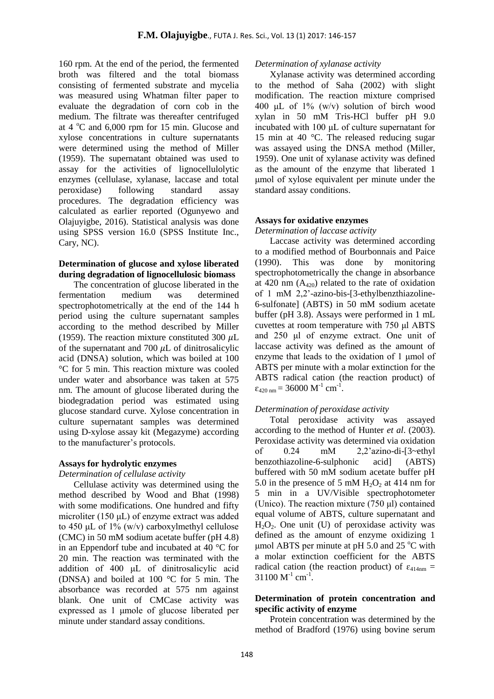160 rpm. At the end of the period, the fermented broth was filtered and the total biomass consisting of fermented substrate and mycelia was measured using Whatman filter paper to evaluate the degradation of corn cob in the medium. The filtrate was thereafter centrifuged at  $4^{\circ}$ C and 6,000 rpm for 15 min. Glucose and xylose concentrations in culture supernatants were determined using the method of Miller (1959). The supernatant obtained was used to assay for the activities of lignocellulolytic enzymes (cellulase, xylanase, laccase and total peroxidase) following standard assay procedures. The degradation efficiency was calculated as earlier reported (Ogunyewo and Olajuyigbe, 2016). Statistical analysis was done using SPSS version 16.0 (SPSS Institute Inc., Cary, NC).

### **Determination of glucose and xylose liberated during degradation of lignocellulosic biomass**

The concentration of glucose liberated in the fermentation medium was determined spectrophotometrically at the end of the 144 h period using the culture supernatant samples according to the method described by Miller (1959). The reaction mixture constituted 300  $\mu$ L of the supernatant and 700  $\mu$ L of dinitrosalicylic acid (DNSA) solution, which was boiled at 100 °C for 5 min. This reaction mixture was cooled under water and absorbance was taken at 575 nm. The amount of glucose liberated during the biodegradation period was estimated using glucose standard curve. Xylose concentration in culture supernatant samples was determined using D-xylose assay kit (Megazyme) according to the manufacturer's protocols.

#### **Assays for hydrolytic enzymes**

#### *Determination of cellulase activity*

Cellulase activity was determined using the method described by Wood and Bhat (1998) with some modifications. One hundred and fifty microliter (150 μL) of enzyme extract was added to 450  $\mu$ L of 1% (w/v) carboxylmethyl cellulose (CMC) in 50 mM sodium acetate buffer (pH 4.8) in an Eppendorf tube and incubated at 40 °C for 20 min. The reaction was terminated with the addition of 400 μL of dinitrosalicylic acid (DNSA) and boiled at 100 °C for 5 min. The absorbance was recorded at 575 nm against blank. One unit of CMCase activity was expressed as 1 μmole of glucose liberated per minute under standard assay conditions.

#### *Determination of xylanase activity*

Xylanase activity was determined according to the method of Saha (2002) with slight modification. The reaction mixture comprised 400 μL of  $1\%$  (w/v) solution of birch wood xylan in 50 mM Tris-HCl buffer pH 9.0 incubated with 100 μL of culture supernatant for 15 min at 40 °C. The released reducing sugar was assayed using the DNSA method (Miller, 1959). One unit of xylanase activity was defined as the amount of the enzyme that liberated 1 μmol of xylose equivalent per minute under the standard assay conditions.

#### **Assays for oxidative enzymes**

*Determination of laccase activity* 

Laccase activity was determined according to a modified method of Bourbonnais and Paice (1990). This was done by monitoring spectrophotometrically the change in absorbance at 420 nm  $(A_{420})$  related to the rate of oxidation of 1 mM 2,2'-azino-bis-[3-ethylbenzthiazoline-6-sulfonate] (ABTS) in 50 mM sodium acetate buffer (pH 3.8). Assays were performed in 1 mL cuvettes at room temperature with 750 μl ABTS and 250 μl of enzyme extract. One unit of laccase activity was defined as the amount of enzyme that leads to the oxidation of 1 μmol of ABTS per minute with a molar extinction for the ABTS radical cation (the reaction product) of  $\varepsilon_{420 \text{ nm}} = 36000 \text{ M}^{-1} \text{ cm}^{-1}.$ 

#### *Determination of peroxidase activity*

Total peroxidase activity was assayed according to the method of Hunter *et al*. (2003). Peroxidase activity was determined via oxidation of 0.24 mM 2,2'azino-di-[3~ethyl benzothiazoline-6-sulphonic acid] (ABTS) buffered with 50 mM sodium acetate buffer pH 5.0 in the presence of 5 mM  $H_2O_2$  at 414 nm for 5 min in a UV/Visible spectrophotometer (Unico). The reaction mixture (750 μl) contained equal volume of ABTS, culture supernatant and  $H_2O_2$ . One unit (U) of peroxidase activity was defined as the amount of enzyme oxidizing 1 μmol ABTS per minute at pH 5.0 and 25  $°C$  with a molar extinction coefficient for the ABTS radical cation (the reaction product) of  $\varepsilon_{414nm}$  =  $31100 M^{-1}$  cm<sup>-1</sup>.

### **Determination of protein concentration and specific activity of enzyme**

Protein concentration was determined by the method of Bradford (1976) using bovine serum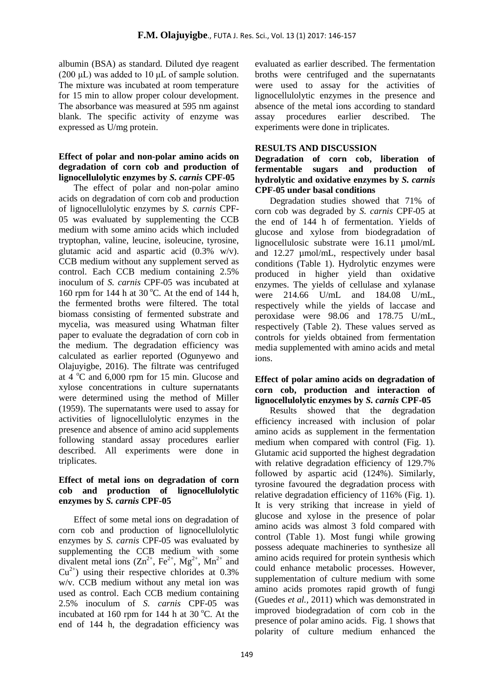albumin (BSA) as standard. Diluted dye reagent (200  $\mu$ L) was added to 10  $\mu$ L of sample solution. The mixture was incubated at room temperature for 15 min to allow proper colour development. The absorbance was measured at 595 nm against blank. The specific activity of enzyme was expressed as U/mg protein.

### **Effect of polar and non-polar amino acids on degradation of corn cob and production of lignocellulolytic enzymes by** *S. carnis* **CPF-05**

The effect of polar and non-polar amino acids on degradation of corn cob and production of lignocellulolytic enzymes by *S. carnis* CPF-05 was evaluated by supplementing the CCB medium with some amino acids which included tryptophan, valine, leucine, isoleucine, tyrosine, glutamic acid and aspartic acid (0.3% w/v). CCB medium without any supplement served as control. Each CCB medium containing 2.5% inoculum of *S. carnis* CPF-05 was incubated at 160 rpm for 144 h at 30 °C. At the end of 144 h, the fermented broths were filtered. The total biomass consisting of fermented substrate and mycelia, was measured using Whatman filter paper to evaluate the degradation of corn cob in the medium. The degradation efficiency was calculated as earlier reported (Ogunyewo and Olajuyigbe, 2016). The filtrate was centrifuged at  $4^{\circ}$ C and  $6,000$  rpm for 15 min. Glucose and xylose concentrations in culture supernatants were determined using the method of Miller (1959). The supernatants were used to assay for activities of lignocellulolytic enzymes in the presence and absence of amino acid supplements following standard assay procedures earlier described. All experiments were done in triplicates.

## **Effect of metal ions on degradation of corn cob and production of lignocellulolytic enzymes by** *S. carnis* **CPF-05**

Effect of some metal ions on degradation of corn cob and production of lignocellulolytic enzymes by *S. carnis* CPF-05 was evaluated by supplementing the CCB medium with some divalent metal ions  $(Zn^{2+}, Fe^{2+}, Mg^{2+}, Mn^{2+}$  and  $Cu<sup>2+</sup>$ ) using their respective chlorides at 0.3% w/v. CCB medium without any metal ion was used as control. Each CCB medium containing 2.5% inoculum of *S. carnis* CPF-05 was incubated at 160 rpm for 144 h at 30  $^{\circ}$ C. At the end of 144 h, the degradation efficiency was evaluated as earlier described. The fermentation broths were centrifuged and the supernatants were used to assay for the activities of lignocellulolytic enzymes in the presence and absence of the metal ions according to standard assay procedures earlier described. The experiments were done in triplicates.

## **RESULTS AND DISCUSSION**

**Degradation of corn cob, liberation of fermentable sugars and production of hydrolytic and oxidative enzymes by** *S. carnis* **CPF-05 under basal conditions**

Degradation studies showed that 71% of corn cob was degraded by *S. carnis* CPF-05 at the end of 144 h of fermentation. Yields of glucose and xylose from biodegradation of lignocellulosic substrate were 16.11 umol/mL and 12.27 µmol/mL, respectively under basal conditions (Table 1). Hydrolytic enzymes were produced in higher yield than oxidative enzymes. The yields of cellulase and xylanase were 214.66 U/mL and 184.08 U/mL, respectively while the yields of laccase and peroxidase were 98.06 and 178.75 U/mL, respectively (Table 2). These values served as controls for yields obtained from fermentation media supplemented with amino acids and metal ions.

### **Effect of polar amino acids on degradation of corn cob, production and interaction of lignocellulolytic enzymes by** *S. carnis* **CPF-05**

Results showed that the degradation efficiency increased with inclusion of polar amino acids as supplement in the fermentation medium when compared with control (Fig. 1). Glutamic acid supported the highest degradation with relative degradation efficiency of 129.7% followed by aspartic acid (124%). Similarly, tyrosine favoured the degradation process with relative degradation efficiency of 116% (Fig. 1). It is very striking that increase in yield of glucose and xylose in the presence of polar amino acids was almost 3 fold compared with control (Table 1). Most fungi while growing possess adequate machineries to synthesize all amino acids required for protein synthesis which could enhance metabolic processes. However, supplementation of culture medium with some amino acids promotes rapid growth of fungi (Guedes *et al.,* 2011) which was demonstrated in improved biodegradation of corn cob in the presence of polar amino acids. Fig. 1 shows that polarity of culture medium enhanced the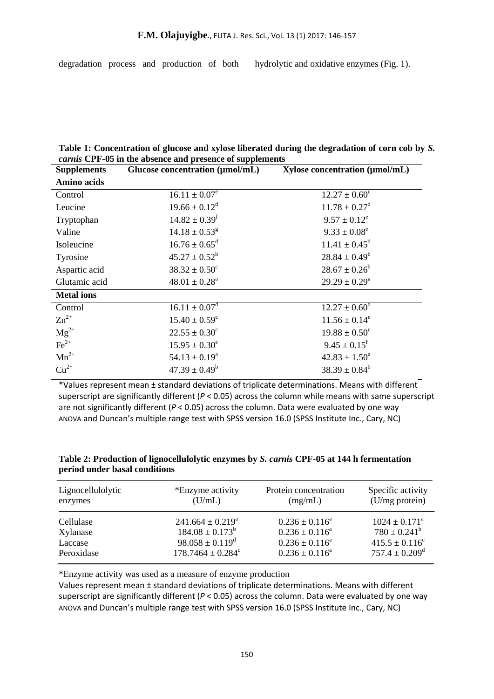degradation process and production of both hydrolytic and oxidative enzymes (Fig. 1).

| Table 1: Concentration of glucose and xylose liberated during the degradation of corn cob by S. |  |  |  |
|-------------------------------------------------------------------------------------------------|--|--|--|
| <i>carnis</i> CPF-05 in the absence and presence of supplements                                 |  |  |  |

| Glucose concentration (µmol/mL) | Xylose concentration (µmol/mL) |
|---------------------------------|--------------------------------|
|                                 |                                |
| $16.11 \pm 0.07^e$              | $12.27 \pm 0.60^{\circ}$       |
|                                 | $11.78 \pm 0.27^{\rm d}$       |
| $14.82 \pm 0.39$ <sup>f</sup>   | $9.57 \pm 0.12^e$              |
| $14.18 \pm 0.53$ <sup>g</sup>   | $9.33 \pm 0.08^e$              |
| $16.76 \pm 0.65^{\text{d}}$     | $11.41 \pm 0.45^{\text{d}}$    |
| $45.27 \pm 0.52^b$              | $28.84 \pm 0.49^b$             |
| $38.32 \pm 0.50^c$              | $28.67 \pm 0.26^b$             |
| $48.01 \pm 0.28^a$              | $29.29 \pm 0.29^a$             |
|                                 |                                |
| $16.11 \pm 0.07^{\text{d}}$     | $12.27 \pm 0.60^{\circ}$       |
| $15.40 \pm 0.59^e$              | $11.56 \pm 0.14^e$             |
| $22.55 \pm 0.30^c$              | $19.88 \pm 0.50^c$             |
| $15.95 \pm 0.30^e$              | $9.45 \pm 0.15$ <sup>f</sup>   |
| $54.13 \pm 0.19^a$              | $42.83 \pm 1.50^a$             |
| $47.39 \pm 0.49^b$              | $38.39 \pm 0.84^b$             |
|                                 | $19.66 \pm 0.12^d$             |

\*Values represent mean ± standard deviations of triplicate determinations. Means with different superscript are significantly different (*P* < 0.05) across the column while means with same superscript are not significantly different (*P* < 0.05) across the column. Data were evaluated by one way ANOVA and Duncan's multiple range test with SPSS version 16.0 (SPSS Institute Inc., Cary, NC)

| Table 2: Production of lignocellulolytic enzymes by S. carnis CPF-05 at 144 h fermentation |  |  |
|--------------------------------------------------------------------------------------------|--|--|
| period under basal conditions                                                              |  |  |

| Lignocellulolytic | *Enzyme activity                  | Protein concentration | Specific activity              |
|-------------------|-----------------------------------|-----------------------|--------------------------------|
| enzymes           | (U/mL)                            | (mg/mL)               | (U/mg protein)                 |
| Cellulase         | $241.664 \pm 0.219^a$             | $0.236 \pm 0.116^a$   | $1024 \pm 0.171^{\circ}$       |
| Xylanase          | $184.08 \pm 0.173^b$              | $0.236 \pm 0.116^a$   | $780 \pm 0.241^b$              |
| Laccase           | $98.058 \pm 0.119^{\circ}$        | $0.236 \pm 0.116^a$   | $415.5 \pm 0.116^c$            |
| Peroxidase        | $178.7464 \pm 0.284$ <sup>c</sup> | $0.236 \pm 0.116^a$   | $757.4 \pm 0.209$ <sup>d</sup> |

\*Enzyme activity was used as a measure of enzyme production

Values represent mean ± standard deviations of triplicate determinations. Means with different superscript are significantly different (*P* < 0.05) across the column. Data were evaluated by one way ANOVA and Duncan's multiple range test with SPSS version 16.0 (SPSS Institute Inc., Cary, NC)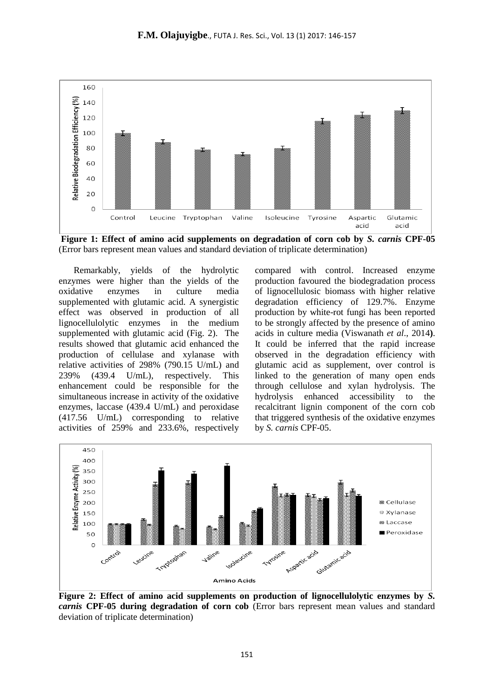

**Figure 1: Effect of amino acid supplements on degradation of corn cob by** *S. carnis* **CPF-05** (Error bars represent mean values and standard deviation of triplicate determination)

Remarkably, yields of the hydrolytic enzymes were higher than the yields of the oxidative enzymes in culture media supplemented with glutamic acid. A synergistic effect was observed in production of all lignocellulolytic enzymes in the medium supplemented with glutamic acid (Fig. 2). The results showed that glutamic acid enhanced the production of cellulase and xylanase with relative activities of 298% (790.15 U/mL) and 239% (439.4 U/mL), respectively. This enhancement could be responsible for the simultaneous increase in activity of the oxidative enzymes, laccase (439.4 U/mL) and peroxidase (417.56 U/mL) corresponding to relative activities of 259% and 233.6%, respectively compared with control. Increased enzyme production favoured the biodegradation process of lignocellulosic biomass with higher relative degradation efficiency of 129.7%. Enzyme production by white-rot fungi has been reported to be strongly affected by the presence of amino acids in culture media (Viswanath *et al*., 2014**)**. It could be inferred that the rapid increase observed in the degradation efficiency with glutamic acid as supplement, over control is linked to the generation of many open ends through cellulose and xylan hydrolysis. The hydrolysis enhanced accessibility to the recalcitrant lignin component of the corn cob that triggered synthesis of the oxidative enzymes by *S. carnis* CPF-05.



**Figure 2: Effect of amino acid supplements on production of lignocellulolytic enzymes by** *S. carnis* **CPF-05 during degradation of corn cob** (Error bars represent mean values and standard deviation of triplicate determination)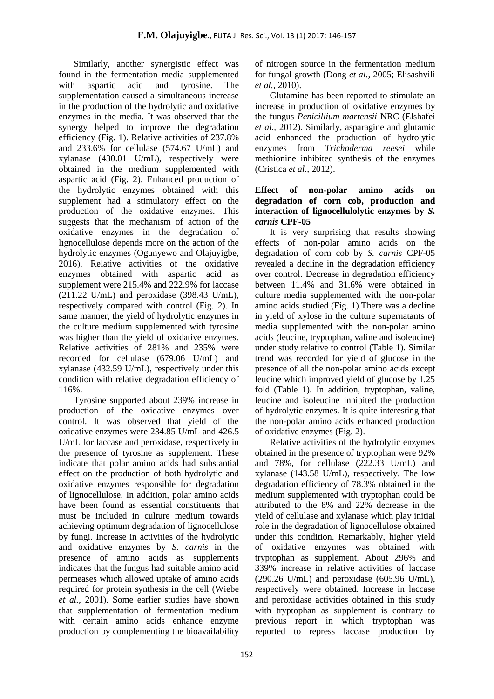Similarly, another synergistic effect was found in the fermentation media supplemented with aspartic acid and tyrosine. The supplementation caused a simultaneous increase in the production of the hydrolytic and oxidative enzymes in the media. It was observed that the synergy helped to improve the degradation efficiency (Fig. 1). Relative activities of 237.8% and 233.6% for cellulase (574.67 U/mL) and xylanase (430.01 U/mL), respectively were obtained in the medium supplemented with aspartic acid (Fig. 2). Enhanced production of the hydrolytic enzymes obtained with this supplement had a stimulatory effect on the production of the oxidative enzymes. This suggests that the mechanism of action of the oxidative enzymes in the degradation of lignocellulose depends more on the action of the hydrolytic enzymes (Ogunyewo and Olajuyigbe, 2016). Relative activities of the oxidative enzymes obtained with aspartic acid as supplement were 215.4% and 222.9% for laccase (211.22 U/mL) and peroxidase (398.43 U/mL), respectively compared with control (Fig. 2). In same manner, the yield of hydrolytic enzymes in the culture medium supplemented with tyrosine was higher than the yield of oxidative enzymes. Relative activities of 281% and 235% were recorded for cellulase (679.06 U/mL) and xylanase (432.59 U/mL), respectively under this condition with relative degradation efficiency of 116%.

Tyrosine supported about 239% increase in production of the oxidative enzymes over control. It was observed that yield of the oxidative enzymes were 234.85 U/mL and 426.5 U/mL for laccase and peroxidase, respectively in the presence of tyrosine as supplement. These indicate that polar amino acids had substantial effect on the production of both hydrolytic and oxidative enzymes responsible for degradation of lignocellulose. In addition, polar amino acids have been found as essential constituents that must be included in culture medium towards achieving optimum degradation of lignocellulose by fungi. Increase in activities of the hydrolytic and oxidative enzymes by *S. carnis* in the presence of amino acids as supplements indicates that the fungus had suitable amino acid permeases which allowed uptake of amino acids required for protein synthesis in the cell (Wiebe *et al.,* 2001). Some earlier studies have shown that supplementation of fermentation medium with certain amino acids enhance enzyme production by complementing the bioavailability

of nitrogen source in the fermentation medium for fungal growth (Dong *et al.,* 2005; Elisashvili *et al.,* 2010).

Glutamine has been reported to stimulate an increase in production of oxidative enzymes by the fungus *Penicillium martensii* NRC (Elshafei *et al.,* 2012). Similarly, asparagine and glutamic acid enhanced the production of hydrolytic enzymes from *Trichoderma reesei* while methionine inhibited synthesis of the enzymes (Cristica *et al.,* 2012).

### **Effect of non-polar amino acids on degradation of corn cob, production and interaction of lignocellulolytic enzymes by** *S. carnis* **CPF-05**

It is very surprising that results showing effects of non-polar amino acids on the degradation of corn cob by *S. carnis* CPF-05 revealed a decline in the degradation efficiency over control. Decrease in degradation efficiency between 11.4% and 31.6% were obtained in culture media supplemented with the non-polar amino acids studied (Fig. 1).There was a decline in yield of xylose in the culture supernatants of media supplemented with the non-polar amino acids (leucine, tryptophan, valine and isoleucine) under study relative to control (Table 1). Similar trend was recorded for yield of glucose in the presence of all the non-polar amino acids except leucine which improved yield of glucose by 1.25 fold (Table 1). In addition, tryptophan, valine, leucine and isoleucine inhibited the production of hydrolytic enzymes. It is quite interesting that the non-polar amino acids enhanced production of oxidative enzymes (Fig. 2).

Relative activities of the hydrolytic enzymes obtained in the presence of tryptophan were 92% and 78%, for cellulase (222.33 U/mL) and xylanase (143.58 U/mL), respectively. The low degradation efficiency of 78.3% obtained in the medium supplemented with tryptophan could be attributed to the 8% and 22% decrease in the yield of cellulase and xylanase which play initial role in the degradation of lignocellulose obtained under this condition. Remarkably, higher yield of oxidative enzymes was obtained with tryptophan as supplement. About 296% and 339% increase in relative activities of laccase  $(290.26 \text{ U/mL})$  and peroxidase  $(605.96 \text{ U/mL})$ , respectively were obtained. Increase in laccase and peroxidase activities obtained in this study with tryptophan as supplement is contrary to previous report in which tryptophan was reported to repress laccase production by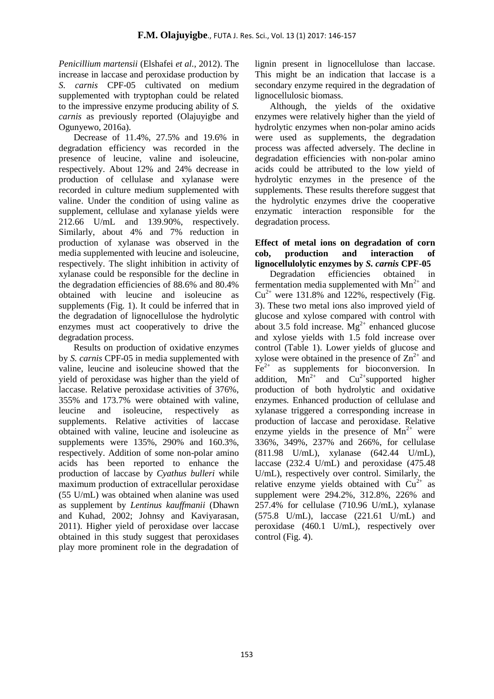*Penicillium martensii* (Elshafei *et al.,* 2012). The increase in laccase and peroxidase production by *S. carnis* CPF-05 cultivated on medium supplemented with tryptophan could be related to the impressive enzyme producing ability of *S. carnis* as previously reported (Olajuyigbe and Ogunyewo, 2016a).

Decrease of 11.4%, 27.5% and 19.6% in degradation efficiency was recorded in the presence of leucine, valine and isoleucine, respectively. About 12% and 24% decrease in production of cellulase and xylanase were recorded in culture medium supplemented with valine. Under the condition of using valine as supplement, cellulase and xylanase yields were 212.66 U/mL and 139.90%, respectively. Similarly, about 4% and 7% reduction in production of xylanase was observed in the media supplemented with leucine and isoleucine, respectively. The slight inhibition in activity of xylanase could be responsible for the decline in the degradation efficiencies of 88.6% and 80.4% obtained with leucine and isoleucine as supplements (Fig. 1). It could be inferred that in the degradation of lignocellulose the hydrolytic enzymes must act cooperatively to drive the degradation process.

Results on production of oxidative enzymes by *S. carnis* CPF-05 in media supplemented with valine, leucine and isoleucine showed that the yield of peroxidase was higher than the yield of laccase. Relative peroxidase activities of 376%, 355% and 173.7% were obtained with valine, leucine and isoleucine, respectively as supplements. Relative activities of laccase obtained with valine, leucine and isoleucine as supplements were 135%, 290% and 160.3%, respectively. Addition of some non-polar amino acids has been reported to enhance the production of laccase by *Cyathus bulleri* while maximum production of extracellular peroxidase (55 U/mL) was obtained when alanine was used as supplement by *Lentinus kauffmanii* (Dhawn and Kuhad, 2002; Johnsy and Kaviyarasan, 2011). Higher yield of peroxidase over laccase obtained in this study suggest that peroxidases play more prominent role in the degradation of lignin present in lignocellulose than laccase. This might be an indication that laccase is a secondary enzyme required in the degradation of lignocellulosic biomass.

Although, the yields of the oxidative enzymes were relatively higher than the yield of hydrolytic enzymes when non-polar amino acids were used as supplements, the degradation process was affected adversely. The decline in degradation efficiencies with non-polar amino acids could be attributed to the low yield of hydrolytic enzymes in the presence of the supplements*.* These results therefore suggest that the hydrolytic enzymes drive the cooperative enzymatic interaction responsible for the degradation process.

### **Effect of metal ions on degradation of corn cob, production and interaction of lignocellulolytic enzymes by** *S. carnis* **CPF-05**

Degradation efficiencies obtained in fermentation media supplemented with  $Mn^{2+}$  and  $Cu^{2+}$  were 131.8% and 122%, respectively (Fig. 3). These two metal ions also improved yield of glucose and xylose compared with control with about 3.5 fold increase.  $Mg^{2+}$  enhanced glucose and xylose yields with 1.5 fold increase over control (Table 1). Lower yields of glucose and xylose were obtained in the presence of  $\text{Zn}^{2+}$  and  $Fe<sup>2+</sup>$  as supplements for bioconversion. In addition,  $\widehat{Mn}^{2+}$  and  $Cu^{2+}$ supported higher production of both hydrolytic and oxidative enzymes*.* Enhanced production of cellulase and xylanase triggered a corresponding increase in production of laccase and peroxidase. Relative enzyme yields in the presence of  $Mn^{2+}$  were 336%, 349%, 237% and 266%, for cellulase (811.98 U/mL), xylanase (642.44 U/mL), laccase (232.4 U/mL) and peroxidase (475.48 U/mL), respectively over control. Similarly, the relative enzyme yields obtained with  $Cu^{2+}$  as supplement were 294.2%, 312.8%, 226% and 257.4% for cellulase (710.96 U/mL), xylanase (575.8 U/mL), laccase (221.61 U/mL) and peroxidase (460.1 U/mL), respectively over control (Fig. 4).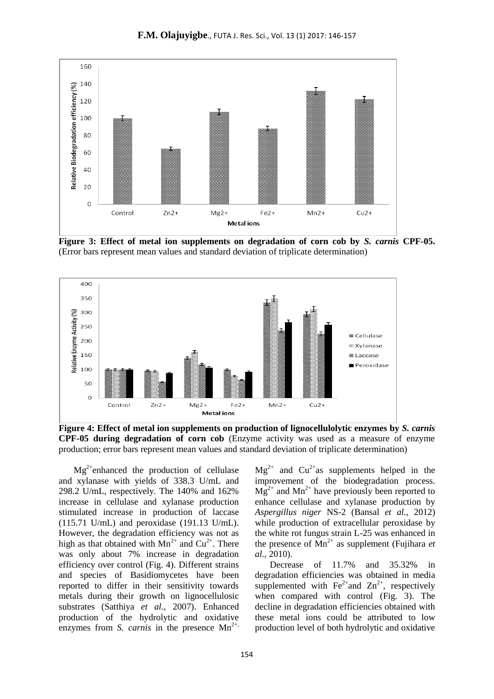

**F.M. Olajuyigbe**., FUTA J. Res. Sci., Vol. 13 (1) 2017: 146-157

**Figure 3: Effect of metal ion supplements on degradation of corn cob by** *S. carnis* **CPF-05.** (Error bars represent mean values and standard deviation of triplicate determination)



**Figure 4: Effect of metal ion supplements on production of lignocellulolytic enzymes by** *S. carnis*  **CPF-05 during degradation of corn cob** (Enzyme activity was used as a measure of enzyme production; error bars represent mean values and standard deviation of triplicate determination)

 $Mg^{2+}$ enhanced the production of cellulase and xylanase with yields of 338.3 U/mL and 298.2 U/mL, respectively. The 140% and 162% increase in cellulase and xylanase production stimulated increase in production of laccase (115.71 U/mL) and peroxidase (191.13 U/mL). However, the degradation efficiency was not as high as that obtained with  $Mn^{2+}$  and  $Cu^{2+}$ . There was only about 7% increase in degradation efficiency over control (Fig. 4). Different strains and species of Basidiomycetes have been reported to differ in their sensitivity towards metals during their growth on lignocellulosic substrates (Satthiya *et al.,* 2007). Enhanced production of the hydrolytic and oxidative enzymes from *S. carnis* in the presence  $Mn^{2+}$ ,

 $Mg^{2+}$  and  $Cu^{2+}$ as supplements helped in the improvement of the biodegradation process.  $Mg^{2+}$  and  $Mn^{2+}$  have previously been reported to enhance cellulase and xylanase production by *Aspergillus niger* NS-2 (Bansal *et al.,* 2012) while production of extracellular peroxidase by the white rot fungus strain L-25 was enhanced in the presence of  $Mn^{2+}$  as supplement (Fujihara *et al.,* 2010).

Decrease of 11.7% and 35.32% in degradation efficiencies was obtained in media supplemented with  $Fe^{2+}$ and  $Zn^{2+}$ , respectively when compared with control (Fig. 3). The decline in degradation efficiencies obtained with these metal ions could be attributed to low production level of both hydrolytic and oxidative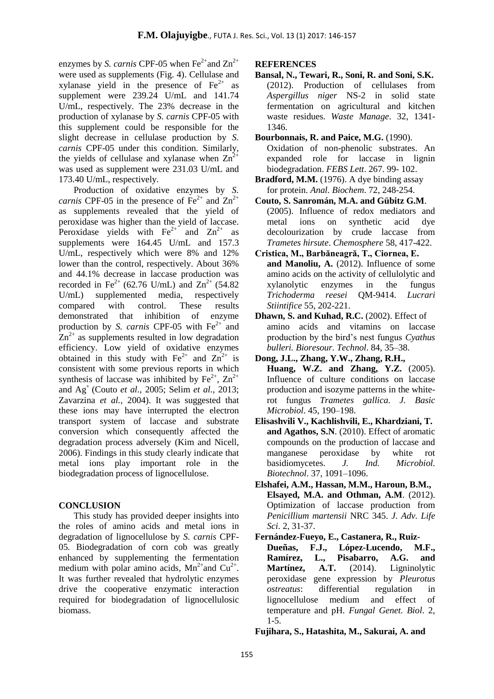enzymes by *S. carnis* CPF-05 when  $Fe^{2+}$  and  $Zn^{2+}$ were used as supplements (Fig. 4). Cellulase and xylanase yield in the presence of  $Fe<sup>2+</sup>$  as supplement were 239.24 U/mL and 141.74 U/mL, respectively. The 23% decrease in the production of xylanase by *S. carnis* CPF-05 with this supplement could be responsible for the slight decrease in cellulase production by *S. carnis* CPF-05 under this condition. Similarly, the yields of cellulase and xylanase when  $Zn^2$ was used as supplement were 231.03 U/mL and 173.40 U/mL, respectively.

Production of oxidative enzymes by *S. carnis* CPF-05 in the presence of  $Fe^{2+}$  and  $Zn^{2+}$ as supplements revealed that the yield of peroxidase was higher than the yield of laccase. Peroxidase yields with  $Fe^{2+}$  and  $Zn^{2+}$  as supplements were 164.45 U/mL and 157.3 U/mL, respectively which were 8% and 12% lower than the control, respectively. About 36% and 44.1% decrease in laccase production was recorded in Fe<sup>2+</sup> (62.76 U/mL) and  $Zn^{2+}$  (54.82 U/mL) supplemented media, respectively U/mL) supplemented media, respectively compared with control. These results demonstrated that inhibition of enzyme production by *S. carnis* CPF-05 with Fe<sup>2+</sup> and  $Zn^{2+}$  as supplements resulted in low degradation efficiency. Low yield of oxidative enzymes obtained in this study with  $Fe^{2+}$  and  $Zn^{2+}$  is consistent with some previous reports in which synthesis of laccase was inhibited by  $Fe^{2+}$ ,  $Zn^{2+}$ and Ag<sup>+</sup> (Couto *et al.,* 2005; Selim *et al.,* 2013; Zavarzina *et al.,* 2004). It was suggested that these ions may have interrupted the electron transport system of laccase and substrate conversion which consequently affected the degradation process adversely (Kim and Nicell, 2006). Findings in this study clearly indicate that metal ions play important role in the biodegradation process of lignocellulose.

#### **CONCLUSION**

This study has provided deeper insights into the roles of amino acids and metal ions in degradation of lignocellulose by *S. carnis* CPF-05*.* Biodegradation of corn cob was greatly enhanced by supplementing the fermentation medium with polar amino acids,  $Mn^{2+}$  and  $Cu^{2+}$ . It was further revealed that hydrolytic enzymes drive the cooperative enzymatic interaction required for biodegradation of lignocellulosic biomass.

## **REFERENCES**

- **Bansal, N., Tewari, R., Soni, R. and Soni, S.K.** (2012). Production of cellulases from *Aspergillus niger* NS-2 in solid state fermentation on agricultural and kitchen waste residues. *Waste Manage*. 32, 1341- 1346.
- **Bourbonnais, R. and Paice, M.G.** (1990). Oxidation of non-phenolic substrates. An expanded role for laccase in lignin biodegradation. *FEBS Lett*. 267. 99- 102.
- **Bradford, M.M.** (1976). A dye binding assay for protein. *Anal. Biochem*. 72, 248-254.
- **Couto, S. Sanromán, M.A. and Gübitz G.M**. (2005). Influence of redox mediators and metal ions on synthetic acid dye decolourization by crude laccase from *Trametes hirsute*. *Chemosphere* 58, 417-422.
- **Cristica, M., Barbăneagră, T., Ciornea, E. and Manoliu, A.** (2012). Influence of some amino acids on the activity of cellulolytic and xylanolytic enzymes in the fungus *Trichoderma reesei* QM-9414. *Lucrari Stiintifice* 55, 202-221.
- **Dhawn, S. and Kuhad, R.C.** (2002). Effect of amino acids and vitamins on laccase production by the bird's nest fungus *Cyathus bulleri. Bioresour. Technol*. 84, 35–38.
- **Dong, J.L., Zhang, Y.W., Zhang, R.H., Huang, W.Z. and Zhang, Y.Z.** (2005). Influence of culture conditions on laccase production and isozyme patterns in the whiterot fungus *Trametes gallica. J. Basic Microbiol*. 45, 190–198.
- **Elisashvili V., Kachlishvili, E., Khardziani, T. and Agathos, S.N**. (2010). Effect of aromatic compounds on the production of laccase and manganese peroxidase by white rot basidiomycetes. *J. Ind. Microbiol. Biotechnol*. 37, 1091–1096.
- **Elshafei, A.M., Hassan, M.M., Haroun, B.M., Elsayed, M.A. and Othman, A.M**. (2012). Optimization of laccase production from *Penicillium martensii* NRC 345. *J. Adv. Life Sci*. 2, 31-37.
- **Fernández-Fueyo, E., Castanera, R., Ruiz-Dueñas, F.J., López-Lucendo, M.F.,**  Ramírez, L., Pisabarro, Martínez, A.T. (2014). Ligninolytic peroxidase gene expression by *Pleurotus ostreatus*: differential regulation in lignocellulose medium and effect of temperature and pH. *Fungal Genet. Biol*. 2, 1-5.

**Fujihara, S., Hatashita, M., Sakurai, A. and**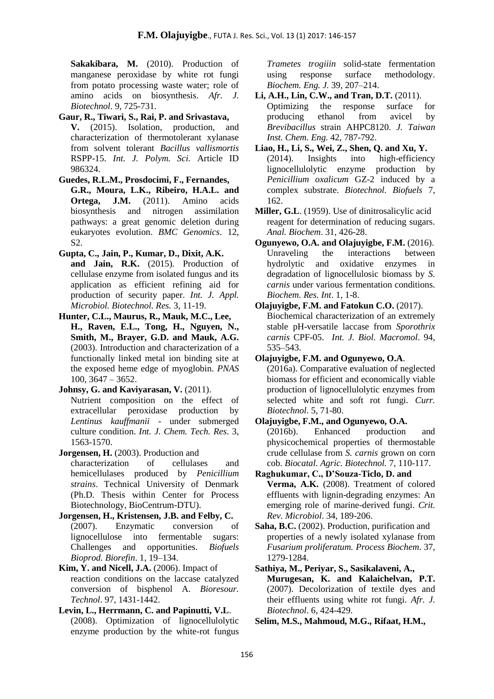**Sakakibara, M.** (2010). Production of manganese peroxidase by white rot fungi from potato processing waste water; role of amino acids on biosynthesis. *Afr. J. Biotechnol*. 9, 725-731.

**Gaur, R., Tiwari, S., Rai, P. and Srivastava, V.** (2015). Isolation, production, and characterization of thermotolerant xylanase from solvent tolerant *Bacillus vallismortis* RSPP-15. *Int. J. Polym. Sci.* Article ID 986324.

**Guedes, R.L.M., Prosdocimi, F., Fernandes, G.R., Moura, L.K., Ribeiro, H.A.L. and Ortega, J.M.** (2011). Amino acids biosynthesis and nitrogen assimilation pathways: a great genomic deletion during eukaryotes evolution. *BMC Genomics*. 12, S2.

**Gupta, C., Jain, P., Kumar, D., Dixit, A.K. and Jain, R.K.** (2015). Production of cellulase enzyme from isolated fungus and its application as efficient refining aid for production of security paper. *Int. J. Appl. Microbiol. Biotechnol. Res.* 3, 11-19.

- **Hunter, C.L., Maurus, R., Mauk, M.C., Lee, H., Raven, E.L., Tong, H., Nguyen, N., Smith, M., Brayer, G.D. and Mauk, A.G.** (2003). Introduction and characterization of a functionally linked metal ion binding site at the exposed heme edge of myoglobin. *PNAS* 100, 3647 – 3652.
- **Johnsy, G. and Kaviyarasan, V.** (2011). Nutrient composition on the effect of extracellular peroxidase production by *Lentinus kauffmanii* - under submerged culture condition. *Int. J. Chem. Tech. Res*. 3, 1563-1570.
- **Jorgensen, H.** (2003). Production and characterization of cellulases and hemicellulases produced by *Penicillium strains*. Technical University of Denmark (Ph.D. Thesis within Center for Process Biotechnology, BioCentrum-DTU).
- **Jorgensen, H., Kristensen, J.B. and Felby, C.** (2007). Enzymatic conversion of lignocellulose into fermentable sugars: Challenges and opportunities. *Biofuels Bioprod. Biorefin*. 1, 19–134.
- **Kim, Y. and Nicell, J.A.** (2006). Impact of reaction conditions on the laccase catalyzed conversion of bisphenol A. *Bioresour. Technol*. 97, 1431-1442.
- **Levin, L., Herrmann, C. and Papinutti, V.L**. (2008). Optimization of lignocellulolytic enzyme production by the white-rot fungus

*Trametes trogiiin* solid-state fermentation using response surface methodology. *Biochem. Eng. J.* 39, 207–214.

- **Li, A.H., Lin, C.W., and Tran, D.T.** (2011). Optimizing the response surface for producing ethanol from avicel by *Brevibacillus* strain AHPC8120. *J. Taiwan Inst. Chem. Eng.* 42, 787-792.
- **Liao, H., Li, S., Wei, Z., Shen, Q. and Xu, Y.** (2014). Insights into high-efficiency lignocellulolytic enzyme production by *Penicillium oxalicum* GZ-2 induced by a complex substrate. *Biotechnol. Biofuels* 7, 162.
- **Miller, G.L**. (1959). Use of dinitrosalicylic acid reagent for determination of reducing sugars. *Anal. Biochem*. 31, 426-28.
- **Ogunyewo, O.A. and Olajuyigbe, F.M.** (2016). Unraveling the interactions between hydrolytic and oxidative enzymes in degradation of lignocellulosic biomass by *S. carnis* under various fermentation conditions. *Biochem. Res. Int*. 1, 1-8.
- **Olajuyigbe, F.M. and Fatokun C.O.** (2017). Biochemical characterization of an extremely stable pH-versatile laccase from *Sporothrix carnis* CPF-05. *Int. J. Biol. Macromol*. 94, 535–543.
- **Olajuyigbe, F.M. and Ogunyewo, O.A**. (2016a). Comparative evaluation of neglected biomass for efficient and economically viable production of lignocellulolytic enzymes from selected white and soft rot fungi. *Curr. Biotechnol*. 5, 71-80.

**Olajuyigbe, F.M., and Ogunyewo, O.A.** (2016b). Enhanced production and physicochemical properties of thermostable crude cellulase from *S. carnis* grown on corn cob. *Biocatal. Agric. Biotechnol.* 7, 110-117.

- **Raghukumar, C., D'Souza-Ticlo, D. and Verma, A.K.** (2008). Treatment of colored effluents with lignin-degrading enzymes: An emerging role of marine-derived fungi. *Crit. Rev. Microbiol*. 34, 189-206.
- **Saha, B.C.** (2002). Production, purification and properties of a newly isolated xylanase from *Fusarium proliferatum. Process Biochem*. 37, 1279-1284.

**Sathiya, M., Periyar, S., Sasikalaveni, A., Murugesan, K. and Kalaichelvan, P.T.** (2007). Decolorization of textile dyes and their effluents using white rot fungi. *Afr. J. Biotechnol*. 6, 424-429.

**Selim, M.S., Mahmoud, M.G., Rifaat, H.M.,**